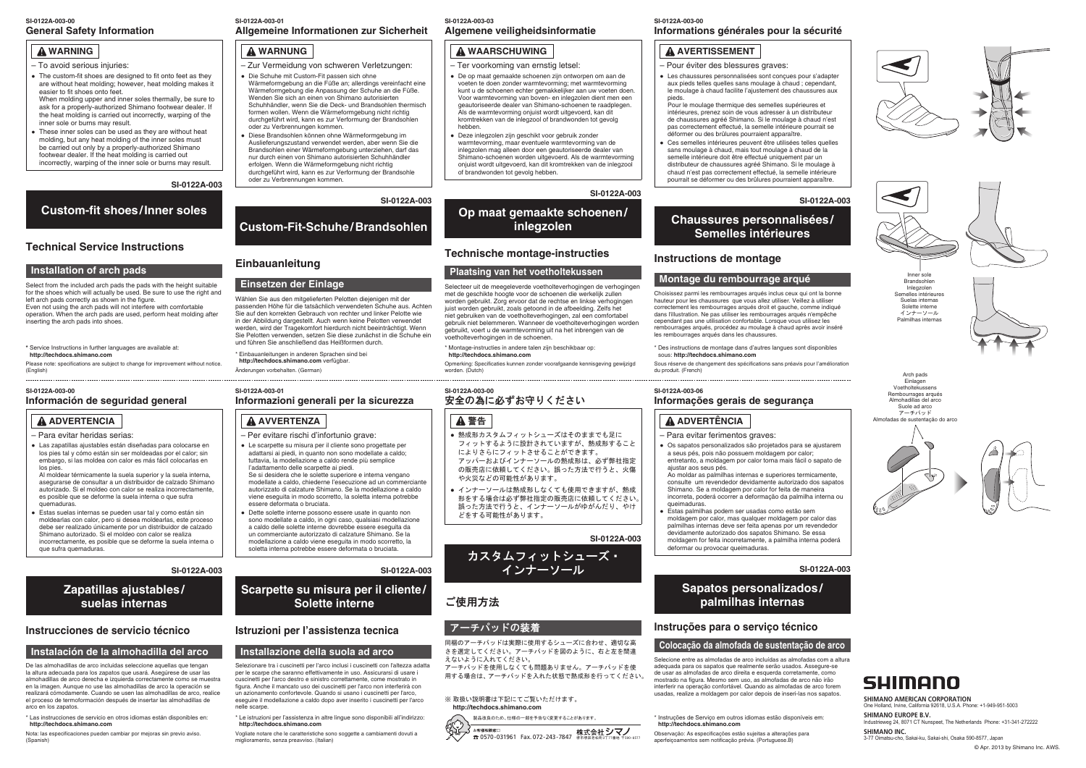# **WARNING**

- To avoid serious injuries:
- The custom-fit shoes are designed to fit onto feet as they are without heat molding; however, heat molding makes it easier to fit shoes onto feet. When molding upper and inner soles thermally, be sure to ask for a properly-authorized Shimano footwear dealer. If the heat molding is carried out incorrectly, warping of the inner sole or burns may result.
- These inner soles can be used as they are without heat molding, but any heat molding of the inner soles must be carried out only by a properly-authorized Shimano footwear dealer. If the heat molding is carried out incorrectly, warping of the inner sole or burns may result.

**SI-0122A-003**

# **Custom-fit shoes/Inner soles**

# **Technical Service Instructions**

### **Installation of arch pads**

Select from the included arch pads the pads with the height suitable for the shoes which will actually be used. Be sure to use the right and left arch pads correctly as shown in the figure. Even not using the arch pads will not interfere with comfortable operation. When the arch pads are used, perform heat molding after inserting the arch pads into shoes.

# **WARNUNG**

- Zur Vermeidung von schweren Verletzungen: ● Die Schuhe mit Custom-Fit passen sich ohne
- Wärmeformgebung an die Füße an; allerdings vereinfacht eine Wärmeformgebung die Anpassung der Schuhe an die Füße. Wenden Sie sich an einen von Shimano autorisierten Schuhhändler, wenn Sie die Deck- und Brandsohlen thermisch formen wollen. Wenn die Wärmeformgebung nicht richtig durchgeführt wird, kann es zur Verformung der Brandsohlen oder zu Verbrennungen kommen.
- Diese Brandsohlen können ohne Wärmeformgebung im Auslieferungszustand verwendet werden, aber wenn Sie die Brandsohlen einer Wärmeformgebung unterziehen, darf das nur durch einen von Shimano autorisierten Schuhhändler erfolgen. Wenn die Wärmeformgebung nicht richtig durchgeführt wird, kann es zur Verformung der Brandsohle oder zu Verbrennungen kommen.

#### **General Safety Information SI-0122A-003-00**

### **SI-0122A-003**

# **Custom-Fit-Schuhe/Brandsohlen**

# **Einbauanleitung**

### **Einsetzen der Einlage**

Wählen Sie aus den mitgelieferten Pelotten diejenigen mit der passenden Höhe für die tatsächlich verwendeten Schuhe aus. Achten Sie auf den korrekten Gebrauch von rechter und linker Pelotte wie in der Abbildung dargestellt. Auch wenn keine Pelotten verwendet werden, wird der Tragekomfort hierdurch nicht beeinträchtigt. Wenn Sie Pelotten verwenden, setzen Sie diese zunächst in die Schuhe ein und führen Sie anschließend das Heißformen durch.

Choisissez parmi les rembourrages arqués inclus ceux qui ont la bonne hauteur pour les chaussures que vous allez utiliser. Veillez à utiliser correctement les rembourrages arqués droit et gauche, comme indiqué dans l'illustration. Ne pas utiliser les rembourrages arqués n'empêche cependant pas une utilisation confortable. Lorsque vous utilisez les rembourrages arqués, procédez au moulage à chaud après avoir inséré les rembourrages arqués dans les chaussures

### **Allgemeine Informationen zur Sicherheit SI-0122A-003-01**

# **WAARSCHUWING**

Al moldear térmicamente la suela superior y la suela interna, asegurarse de consultar a un distribuidor de calzado Shimano autorizado. Si el moldeo con calor se realiza incorrectamente, es posible que se deforme la suela interna o que sufra quemaduras.

- Ter voorkoming van ernstig letsel:
- De op maat gemaakte schoenen zijn ontworpen om aan de voeten te doen zonder warmtevorming; met warmtevorming kunt u de schoenen echter gemakkelijker aan uw voeten doen. Voor warmtevorming van boven- en inlegzolen dient men een geautoriseerde dealer van Shimano-schoenen te raadplegen. Als de warmtevorming onjuist wordt uitgevoerd, kan dit kromtrekken van de inlegzool of brandwonden tot gevolg hebben.
- Deze inlegzolen zijn geschikt voor gebruik zonder warmtevorming, maar eventuele warmtevorming van de inlegzolen mag alleen door een geautoriseerde dealer van Shimano-schoenen worden uitgevoerd. Als de warmtevorming onjuist wordt uitgevoerd, kan dit kromtrekken van de inlegzool of brandwonden tot gevolg hebben.

● Estas suelas internas se pueden usar tal y como están sin moldearlas con calor, pero si desea moldearlas, este proceso debe ser realizado únicamente por un distribuidor de calzado Shimano autorizado. Si el moldeo con calor se realiza incorrectamente, es posible que se deforme la suela interna o que sufra quemaduras.

### **Algemene veiligheidsinformatie SI-0122A-003-03**

#### **SI-0122A-003**

# **Op maat gemaakte schoenen/ inlegzolen**

# **Technische montage-instructies**

### **Plaatsing van het voetholtekussen**

Arch pads Einlagen Voetholtekussens Rembourrages arqués Almohadillas del arco Suole ad arco アーチパッド Almofadas de sustentação do arco







Selecteer uit de meegeleverde voetholteverhogingen de verhogingen met de geschikte hoogte voor de schoenen die werkelijk zullen worden gebruikt. Zorg ervoor dat de rechtse en linkse verhogingen juist worden gebruikt, zoals getoond in de afbeelding. Zelfs het niet gebruiken van de voetholteverhogingen, zal een comfortabel gebruik niet belemmeren. Wanneer de voetholteverhogingen worden gebruikt, voert u de warmtevorming uit na het inbrengen van de voetholteverhogingen in de schoenen.

# **SI-0122A-003-06**

### **SI-0122A-003-00 Informations générales pour la sécurité**

# **A AVERTISSEMENT**

- Pour éviter des blessures graves:
- Les chaussures personnalisées sont conçues pour s'adapter aux pieds telles quelles sans moulage à chaud ; cependant, le moulage à chaud facilite l'ajustement des chaussures aux pieds.
- Pour le moulage thermique des semelles supérieures et intérieures, prenez soin de vous adresser à un distributeur de chaussures agréé Shimano. Si le moulage à chaud n'est pas correctement effectué, la semelle intérieure pourrait se déformer ou des brûlures pourraient apparaître.
- Ces semelles intérieures peuvent être utilisées telles quelles sans moulage à chaud, mais tout moulage à chaud de la semelle intérieure doit être effectué uniquement par un distributeur de chaussures agréé Shimano. Si le moulage à chaud n'est pas correctement effectué, la semelle intérieure pourrait se déformer ou des brûlures pourraient apparaître.

#### **SI-0122A-003-00 Información de seguridad general**

- 熱成形カスタムフィットシューズはそのままでも足に フィットするように設計されていますが、熱成形すること によりさらにフィットさせることができます。 アッパーおよびインナーソールの熱成形は、必ず弊社指定 の販売店に依頼してください。誤った方法で行うと、火傷 や火災などの可能性があります。
- インナーソールは熱成形しなくても使用できますが、熱成 形をする場合は必ず弊社指定の販売店に依頼してください。 誤った方法で行うと、インナーソールがゆがんだり、やけ どをする可能性があります。



# **Chaussures personnalisées/ Semelles intérieures**

# **Instructions de montage**

# **Montage du rembourrage arqué**

# **ADVERTENCIA**

– Para evitar heridas serias:

● Las zapatillas ajustables están diseñadas para colocarse en los pies tal y cómo están sin ser moldeadas por el calor; sin embargo, si las moldea con calor es más fácil colocarlas en los pies.

#### **SI-0122A-003-01 Informazioni generali per la sicurezza**

#### **SI-0122A-003**

# **Zapatillas ajustables/ suelas internas**

## **Instrucciones de servicio técnico**

### **Instalación de la almohadilla del arco**

#### **SI-0122A-003-00** 安全の為に必ずお守りください

# ▲ 警告

De las almohadillas de arco incluidas seleccione aquellas que tengan la altura adecuada para los zapatos que usará. Asegúrese de usar las almohadillas de arco derecha e izquierda correctamente como se muestra en la imagen. Aunque no use las almohadillas de arco la operación se realizará cómodamente. Cuando se usen las almohadillas de arco, realice el proceso de termoformación después de insertar las almohadillas de arco en los zapatos.



Inlegzolen Semelles intérieures Suelas internas Solette interne インナーソール Palmilhas internas





**\*** Service Instructions in further languages are available at: **http://techdocs.shimano.com**

Please note: specifications are subject to change for improvement without notice. (English)

3-77 Oimatsu-cho, Sakai-ku, Sakai-shi, Osaka 590-8577, Japan Industrieweg 24, 8071 CT Nunspeet, The Netherlands Phone: +31-341-272222 One Holland, Irvine, California 92618, U.S.A. Phone: +1-949-951-5003 **SHIMANO EUROPE B.V. SHIMANO INC.**

#### **SHIMANO AMERICAN CORPORATION**

\* Einbauanleitungen in anderen Sprachen sind bei **http://techdocs.shimano.com** verfügbar. Änderungen vorbehalten. (German)

# **AVVERTENZA**

- Per evitare rischi d'infortunio grave:
- Le scarpette su misura per il cliente sono progettate per adattarsi ai piedi, in quanto non sono modellate a caldo; tuttavia, la modellazione a caldo rende più semplice
- l'adattamento delle scarpette ai piedi. Se si desidera che le solette superiore e interna vengano modellate a caldo, chiederne l'esecuzione ad un commerciante autorizzato di calzature Shimano. Se la modellazione a caldo viene eseguita in modo scorretto, la soletta interna potrebbe essere deformata o bruciata.
- **Dette solette interne possono essere usate in quanto non** sono modellate a caldo, in ogni caso, qualsiasi modellazione a caldo delle solette interne dovrebbe essere eseguita da un commerciante autorizzato di calzature Shimano. Se la modellazione a caldo viene eseguita in modo scorretto, la soletta interna potrebbe essere deformata o bruciata.

### **SI-0122A-003**

# **Scarpette su misura per il cliente/ Solette interne**

## **Istruzioni per l'assistenza tecnica**

### **Installazione della suola ad arco**

Selezionare tra i cuscinetti per l'arco inclusi i cuscinetti con l'altezza adatta per le scarpe che saranno effettivamente in uso. Assicurarsi di usare i cuscinetti per l'arco destro e sinistro correttamente, come mostrato in figura. Anche il mancato uso dei cuscinetti per l'arco non interferirà con un azionamento confortevole. Quando si usano i cuscinetti per l'arco, eseguire il modellazione a caldo dopo aver inserito i cuscinetti per l'arco nelle scarpe.

**SI-0122A-003**

カスタムフィットシューズ・ インナーソール

# ご使用方法

# アーチパッドの装着

同梱のアーチパッドは実際に使用するシューズに合わせ、適切な高 さを選定してください。アーチパッドを図のように、右と左を間違 えないように入れてください。

アーチパッドを使用しなくても問題ありません。アーチパッドを使 用する場合は、アーチパッドを入れた状態で熱成形を行ってください。

## ※ 取扱い説明書は下記にてご覧いただけます。

#### **http://techdocs.shimano.com**

製品改良のため、仕様の一部を予告なく変更することがあります。 お客様相談窓口 お客様相談窓口<br>☎ 0570-031961 Fax. 072-243-7847 堺市堺区老松町3丁77番地 〒590

## **Informações gerais de segurança**

# **ADVERTÊNCIA**

- Para evitar ferimentos graves:
- Os sapatos personalizados são proietados para se aiustarem a seus pés, pois não possuem moldagem por calor; entretanto, a moldagem por calor torna mais fácil o sapato de ajustar aos seus pés.
- Ao moldar as palmilhas internas e superiores termicamente, consulte um revendedor devidamente autorizado dos sapatos Shimano. Se a moldagem por calor for feita de maneira incorreta, poderá ocorrer a deformação da palmilha interna ou queimaduras.
- Estas palmilhas podem ser usadas como estão sem moldagem por calor, mas qualquer moldagem por calor das palmilhas internas deve ser feita apenas por um revendedor devidamente autorizado dos sapatos Shimano. Se essa moldagem for feita incorretamente, a palmilha interna poderá deformar ou provocar queimaduras.









# **Sapatos personalizados/ palmilhas internas**

# **Instruções para o serviço técnico**

# **Colocação da almofada de sustentação de arco**

Selecione entre as almofadas de arco incluídas as almofadas com a altura adequada para os sapatos que realmente serão usados. Assegure-se de usar as almofadas de arco direita e esquerda corretamente, como mostrado na figura. Mesmo sem uso, as almofadas de arco não irão interferir na operação confortável. Quando as almofadas de arco forem usadas, realize a moldagem por calor depois de inseri-las nos sapatos.

\* Instruções de Serviço em outros idiomas estão disponíveis em: **http://techdocs.shimano.com** Observação: As especificações estão sujeitas a alterações para

aperfeiçoamentos sem notificação prévia. (Portuguese.B)

\* Montage-instructies in andere talen zijn beschikbaar op: **http://techdocs.shimano.com**

Opmerking: Specificaties kunnen zonder voorafgaande kennisgeving gewijzigd worden. (Dutch)

\* Des instructions de montage dans d'autres langues sont disponibles sous: **http://techdocs.shimano.com**

Sous réserve de changement des spécifications sans préavis pour l'amélioration du produit. (French)

\* Le istruzioni per l'assistenza in altre lingue sono disponibili all'indirizzo: **http://techdocs.shimano.com**

Vogliate notare che le caratteristiche sono soggette a cambiamenti dovuti a miglioramento, senza preavviso. (Italian)

\* Las instrucciones de servicio en otros idiomas están disponibles en: **http://techdocs.shimano.com** 

Nota: las especificaciones pueden cambiar por mejoras sin previo aviso. (Spanish)